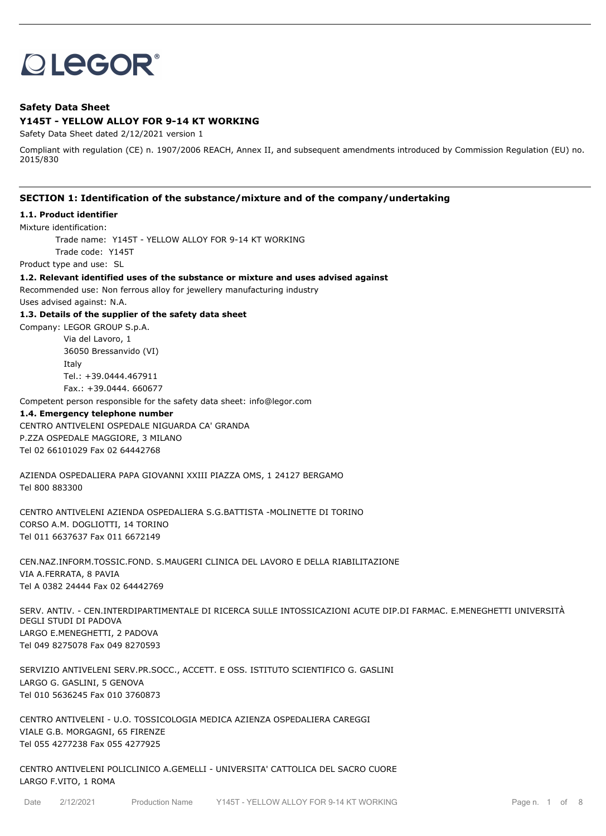# **OLEGOR®**

# **Safety Data Sheet**

## **Y145T - YELLOW ALLOY FOR 9-14 KT WORKING**

Safety Data Sheet dated 2/12/2021 version 1

Compliant with regulation (CE) n. 1907/2006 REACH, Annex II, and subsequent amendments introduced by Commission Regulation (EU) no. 2015/830

## **SECTION 1: Identification of the substance/mixture and of the company/undertaking**

#### **1.1. Product identifier**

Mixture identification:

Trade name: Y145T - YELLOW ALLOY FOR 9-14 KT WORKING Trade code: Y145T

Product type and use: SL

**1.2. Relevant identified uses of the substance or mixture and uses advised against**

Recommended use: Non ferrous alloy for jewellery manufacturing industry

Uses advised against: N.A.

#### **1.3. Details of the supplier of the safety data sheet**

Company: LEGOR GROUP S.p.A. Via del Lavoro, 1 36050 Bressanvido (VI) Italy Tel.: +39.0444.467911

Fax.: +39.0444. 660677

Competent person responsible for the safety data sheet: info@legor.com

## **1.4. Emergency telephone number**

CENTRO ANTIVELENI OSPEDALE NIGUARDA CA' GRANDA P.ZZA OSPEDALE MAGGIORE, 3 MILANO Tel 02 66101029 Fax 02 64442768

AZIENDA OSPEDALIERA PAPA GIOVANNI XXIII PIAZZA OMS, 1 24127 BERGAMO Tel 800 883300

CENTRO ANTIVELENI AZIENDA OSPEDALIERA S.G.BATTISTA -MOLINETTE DI TORINO CORSO A.M. DOGLIOTTI, 14 TORINO Tel 011 6637637 Fax 011 6672149

CEN.NAZ.INFORM.TOSSIC.FOND. S.MAUGERI CLINICA DEL LAVORO E DELLA RIABILITAZIONE VIA A.FERRATA, 8 PAVIA Tel A 0382 24444 Fax 02 64442769

SERV. ANTIV. - CEN.INTERDIPARTIMENTALE DI RICERCA SULLE INTOSSICAZIONI ACUTE DIP.DI FARMAC. E.MENEGHETTI UNIVERSITÀ DEGLI STUDI DI PADOVA LARGO E.MENEGHETTI, 2 PADOVA Tel 049 8275078 Fax 049 8270593

SERVIZIO ANTIVELENI SERV.PR.SOCC., ACCETT. E OSS. ISTITUTO SCIENTIFICO G. GASLINI LARGO G. GASLINI, 5 GENOVA Tel 010 5636245 Fax 010 3760873

CENTRO ANTIVELENI - U.O. TOSSICOLOGIA MEDICA AZIENZA OSPEDALIERA CAREGGI VIALE G.B. MORGAGNI, 65 FIRENZE Tel 055 4277238 Fax 055 4277925

CENTRO ANTIVELENI POLICLINICO A.GEMELLI - UNIVERSITA' CATTOLICA DEL SACRO CUORE LARGO F.VITO, 1 ROMA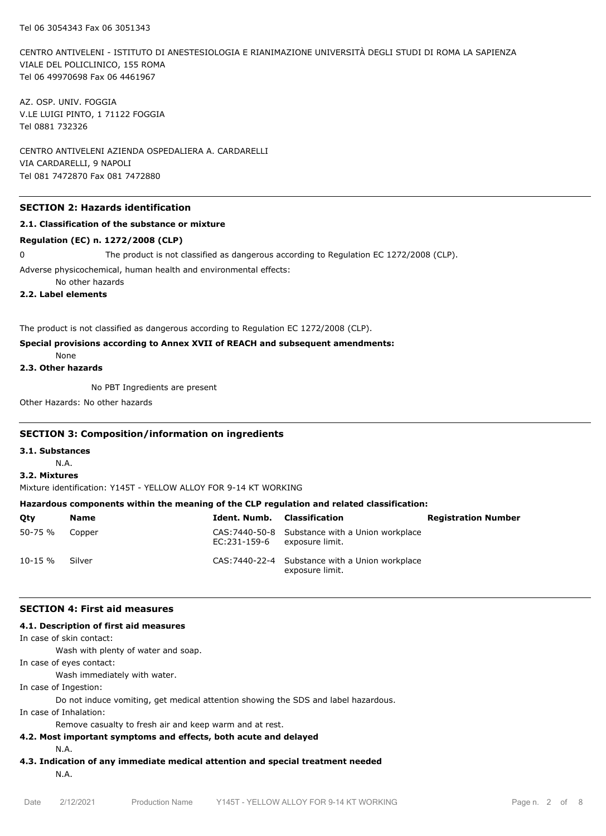CENTRO ANTIVELENI - ISTITUTO DI ANESTESIOLOGIA E RIANIMAZIONE UNIVERSITÀ DEGLI STUDI DI ROMA LA SAPIENZA VIALE DEL POLICLINICO, 155 ROMA Tel 06 49970698 Fax 06 4461967

AZ. OSP. UNIV. FOGGIA V.LE LUIGI PINTO, 1 71122 FOGGIA Tel 0881 732326

CENTRO ANTIVELENI AZIENDA OSPEDALIERA A. CARDARELLI VIA CARDARELLI, 9 NAPOLI Tel 081 7472870 Fax 081 7472880

## **SECTION 2: Hazards identification**

## **2.1. Classification of the substance or mixture**

#### **Regulation (EC) n. 1272/2008 (CLP)**

0 The product is not classified as dangerous according to Regulation EC 1272/2008 (CLP).

Adverse physicochemical, human health and environmental effects:

No other hazards

**2.2. Label elements**

The product is not classified as dangerous according to Regulation EC 1272/2008 (CLP).

## **Special provisions according to Annex XVII of REACH and subsequent amendments:**

None

**2.3. Other hazards**

No PBT Ingredients are present

Other Hazards: No other hazards

#### **SECTION 3: Composition/information on ingredients**

**3.1. Substances**

N.A.

## **3.2. Mixtures**

Mixture identification: Y145T - YELLOW ALLOY FOR 9-14 KT WORKING

## **Hazardous components within the meaning of the CLP regulation and related classification:**

| Qty     | Name   | <b>Ident, Numb.</b> Classification |                                                                    | <b>Registration Number</b> |
|---------|--------|------------------------------------|--------------------------------------------------------------------|----------------------------|
| 50-75 % | Copper | EC:231-159-6 exposure limit.       | CAS: 7440-50-8 Substance with a Union workplace                    |                            |
| 10-15 % | Silver |                                    | CAS: 7440-22-4 Substance with a Union workplace<br>exposure limit. |                            |

## **SECTION 4: First aid measures**

## **4.1. Description of first aid measures**

In case of skin contact:

Wash with plenty of water and soap.

In case of eyes contact:

Wash immediately with water.

In case of Ingestion:

Do not induce vomiting, get medical attention showing the SDS and label hazardous.

In case of Inhalation:

Remove casualty to fresh air and keep warm and at rest.

# **4.2. Most important symptoms and effects, both acute and delayed**

- N.A.
- **4.3. Indication of any immediate medical attention and special treatment needed** N.A.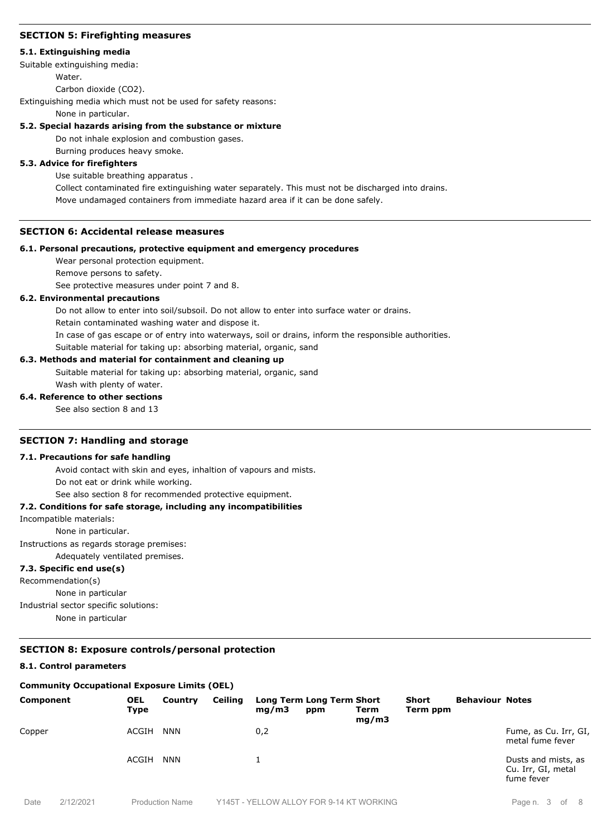## **SECTION 5: Firefighting measures**

#### **5.1. Extinguishing media**

Suitable extinguishing media:

Water.

Carbon dioxide (CO2).

Extinguishing media which must not be used for safety reasons:

None in particular.

## **5.2. Special hazards arising from the substance or mixture**

Do not inhale explosion and combustion gases. Burning produces heavy smoke.

## **5.3. Advice for firefighters**

Use suitable breathing apparatus .

Collect contaminated fire extinguishing water separately. This must not be discharged into drains. Move undamaged containers from immediate hazard area if it can be done safely.

## **SECTION 6: Accidental release measures**

## **6.1. Personal precautions, protective equipment and emergency procedures**

Wear personal protection equipment.

Remove persons to safety.

See protective measures under point 7 and 8.

## **6.2. Environmental precautions**

Do not allow to enter into soil/subsoil. Do not allow to enter into surface water or drains.

Retain contaminated washing water and dispose it.

In case of gas escape or of entry into waterways, soil or drains, inform the responsible authorities.

Suitable material for taking up: absorbing material, organic, sand

## **6.3. Methods and material for containment and cleaning up**

Suitable material for taking up: absorbing material, organic, sand Wash with plenty of water.

## **6.4. Reference to other sections**

See also section 8 and 13

## **SECTION 7: Handling and storage**

## **7.1. Precautions for safe handling**

Avoid contact with skin and eyes, inhaltion of vapours and mists.

Do not eat or drink while working.

See also section 8 for recommended protective equipment.

## **7.2. Conditions for safe storage, including any incompatibilities**

Incompatible materials:

None in particular.

Instructions as regards storage premises:

Adequately ventilated premises.

## **7.3. Specific end use(s)**

Recommendation(s)

None in particular

Industrial sector specific solutions:

None in particular

# **SECTION 8: Exposure controls/personal protection**

# **8.1. Control parameters**

# **Community Occupational Exposure Limits (OEL)**

| Component | <b>OEL</b><br><b>Type</b> | Country    | <b>Ceiling</b> | mq/m3 | Long Term Long Term Short<br>ppm | Term<br>mg/m3 | Short<br>Term ppm | <b>Behaviour Notes</b> |                                                         |
|-----------|---------------------------|------------|----------------|-------|----------------------------------|---------------|-------------------|------------------------|---------------------------------------------------------|
| Copper    | ACGIH                     | NNN        |                | 0,2   |                                  |               |                   |                        | Fume, as Cu. Irr, GI,<br>metal fume fever               |
|           | ACGIH                     | <b>NNN</b> |                |       |                                  |               |                   |                        | Dusts and mists, as<br>Cu. Irr, GI, metal<br>fume fever |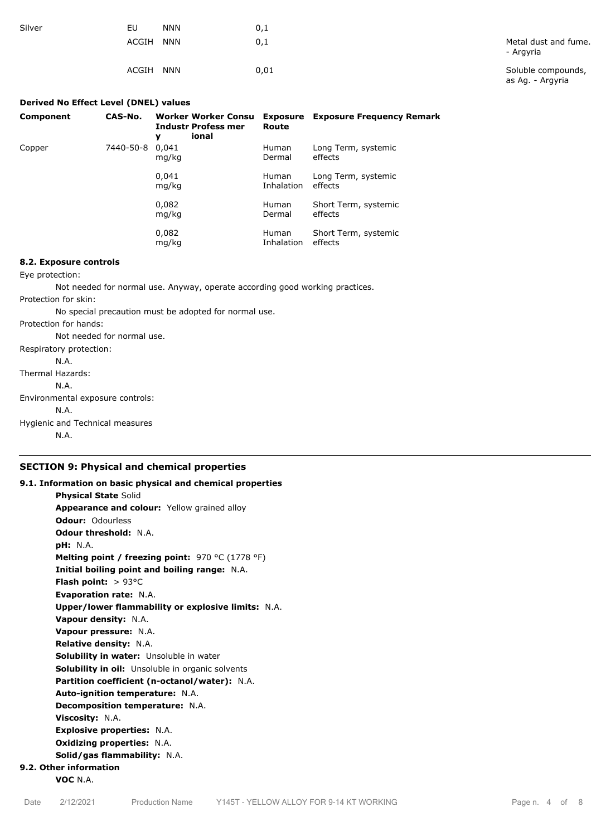| Silver | EU        | <b>NNN</b> | 0,1  |                                        |
|--------|-----------|------------|------|----------------------------------------|
|        | ACGIH NNN |            | 0,1  | Metal dust and fume.<br>- Argyria      |
|        | ACGIH NNN |            | 0,01 | Soluble compounds,<br>as Ag. - Argyria |

## **Derived No Effect Level (DNEL) values**

| Component | CAS-No.   | <b>Worker Worker Consu</b><br><b>Industr Profess mer</b><br>ional<br>y | Exposure<br>Route          | <b>Exposure Frequency Remark</b> |
|-----------|-----------|------------------------------------------------------------------------|----------------------------|----------------------------------|
| Copper    | 7440-50-8 | 0.041<br>mg/kg                                                         | <b>Human</b><br>Dermal     | Long Term, systemic<br>effects   |
|           |           | 0.041<br>mg/kg                                                         | <b>Human</b><br>Inhalation | Long Term, systemic<br>effects   |
|           |           | 0,082<br>mg/kg                                                         | <b>Human</b><br>Dermal     | Short Term, systemic<br>effects  |
|           |           | 0,082<br>mg/kg                                                         | <b>Human</b><br>Inhalation | Short Term, systemic<br>effects  |

## **8.2. Exposure controls**

Eye protection:

Not needed for normal use. Anyway, operate according good working practices.

#### Protection for skin:

No special precaution must be adopted for normal use.

Protection for hands:

Not needed for normal use.

Respiratory protection: N.A. Thermal Hazards: N.A. Environmental exposure controls: N.A.

Hygienic and Technical measures N.A.

## **SECTION 9: Physical and chemical properties**

```
9.1. Information on basic physical and chemical properties
        Physical State Solid
       Appearance and colour: Yellow grained alloy
       Odour: Odourless
       Odour threshold: N.A.
       pH: N.A.
       Melting point / freezing point: 970 °C (1778 °F)
       Initial boiling point and boiling range: N.A.
       Flash point: > 93°C
       Evaporation rate: N.A.
       Upper/lower flammability or explosive limits: N.A.
       Vapour density: N.A.
       Vapour pressure: N.A.
       Relative density: N.A.
       Solubility in water: Unsoluble in water
       Solubility in oil: Unsoluble in organic solvents
       Partition coefficient (n-octanol/water): N.A.
       Auto-ignition temperature: N.A.
       Decomposition temperature: N.A.
       Viscosity: N.A.
       Explosive properties: N.A.
       Oxidizing properties: N.A.
       Solid/gas flammability: N.A.
9.2. Other information
       VOC N.A.
```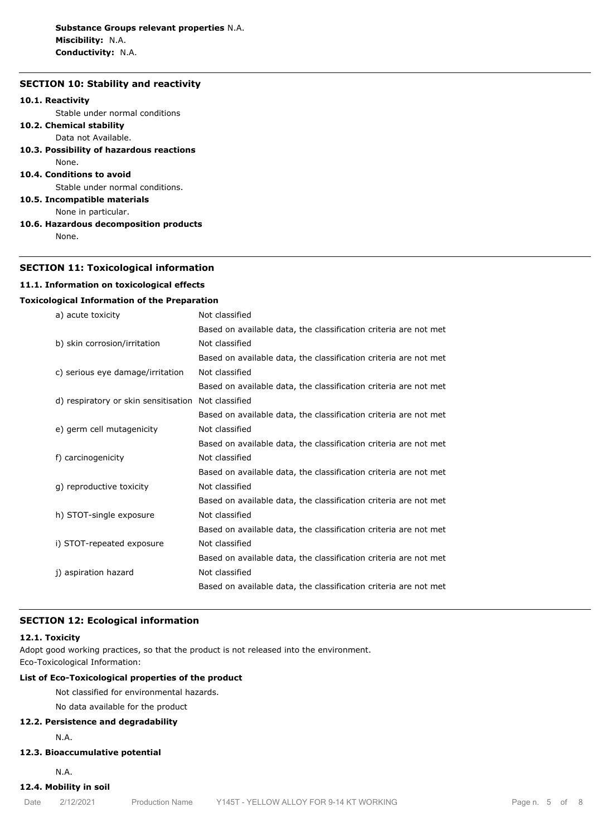## **SECTION 10: Stability and reactivity**

#### **10.1. Reactivity**

Stable under normal conditions

## **10.2. Chemical stability**

Data not Available.

**10.3. Possibility of hazardous reactions** None.

## **10.4. Conditions to avoid**

Stable under normal conditions.

**10.5. Incompatible materials**

None in particular.

**10.6. Hazardous decomposition products**

None.

## **SECTION 11: Toxicological information**

#### **11.1. Information on toxicological effects**

## **Toxicological Information of the Preparation**

| a) acute toxicity                    | Not classified                                                   |
|--------------------------------------|------------------------------------------------------------------|
|                                      | Based on available data, the classification criteria are not met |
| b) skin corrosion/irritation         | Not classified                                                   |
|                                      | Based on available data, the classification criteria are not met |
| c) serious eye damage/irritation     | Not classified                                                   |
|                                      | Based on available data, the classification criteria are not met |
| d) respiratory or skin sensitisation | Not classified                                                   |
|                                      | Based on available data, the classification criteria are not met |
| e) germ cell mutagenicity            | Not classified                                                   |
|                                      | Based on available data, the classification criteria are not met |
| f) carcinogenicity                   | Not classified                                                   |
|                                      | Based on available data, the classification criteria are not met |
| g) reproductive toxicity             | Not classified                                                   |
|                                      | Based on available data, the classification criteria are not met |
| h) STOT-single exposure              | Not classified                                                   |
|                                      | Based on available data, the classification criteria are not met |
| i) STOT-repeated exposure            | Not classified                                                   |
|                                      | Based on available data, the classification criteria are not met |
| j) aspiration hazard                 | Not classified                                                   |
|                                      | Based on available data, the classification criteria are not met |
|                                      |                                                                  |

## **SECTION 12: Ecological information**

#### **12.1. Toxicity**

Adopt good working practices, so that the product is not released into the environment. Eco-Toxicological Information:

## **List of Eco-Toxicological properties of the product**

Not classified for environmental hazards.

No data available for the product

## **12.2. Persistence and degradability**

N.A.

#### **12.3. Bioaccumulative potential**

N.A.

# **12.4. Mobility in soil**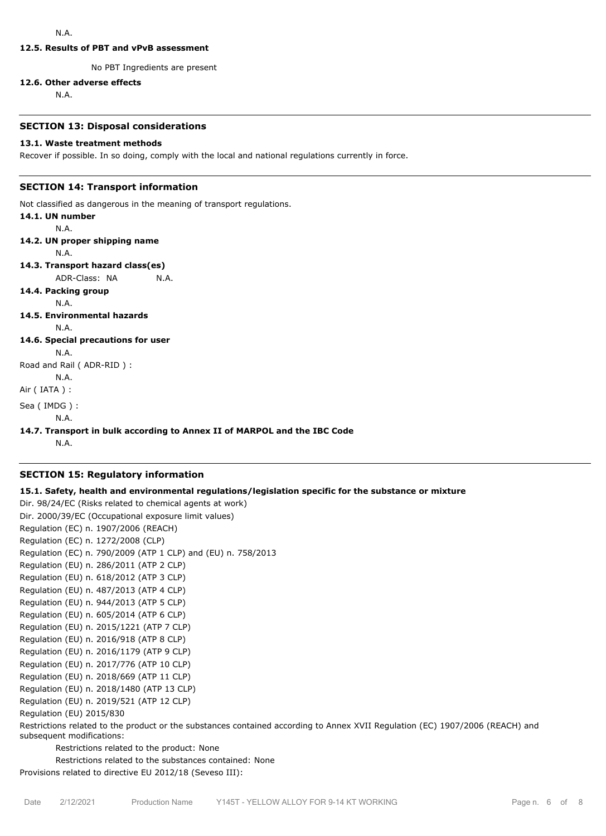#### N.A.

## **12.5. Results of PBT and vPvB assessment**

No PBT Ingredients are present

#### **12.6. Other adverse effects**

N.A.

#### **SECTION 13: Disposal considerations**

#### **13.1. Waste treatment methods**

Recover if possible. In so doing, comply with the local and national regulations currently in force.

#### **SECTION 14: Transport information**

Not classified as dangerous in the meaning of transport regulations.

# **14.1. UN number** N.A. **14.2. UN proper shipping name** N.A. **14.3. Transport hazard class(es)** ADR-Class: NA N.A. **14.4. Packing group** N.A. **14.5. Environmental hazards** N.A. **14.6. Special precautions for user** N.A. Road and Rail ( ADR-RID ) : N.A. Air ( IATA ) : Sea ( IMDG ) : N.A. **14.7. Transport in bulk according to Annex II of MARPOL and the IBC Code** N.A.

## **SECTION 15: Regulatory information**

# **15.1. Safety, health and environmental regulations/legislation specific for the substance or mixture** Dir. 98/24/EC (Risks related to chemical agents at work) Dir. 2000/39/EC (Occupational exposure limit values) Regulation (EC) n. 1907/2006 (REACH) Regulation (EC) n. 1272/2008 (CLP) Regulation (EC) n. 790/2009 (ATP 1 CLP) and (EU) n. 758/2013 Regulation (EU) n. 286/2011 (ATP 2 CLP) Regulation (EU) n. 618/2012 (ATP 3 CLP) Regulation (EU) n. 487/2013 (ATP 4 CLP) Regulation (EU) n. 944/2013 (ATP 5 CLP) Regulation (EU) n. 605/2014 (ATP 6 CLP) Regulation (EU) n. 2015/1221 (ATP 7 CLP) Regulation (EU) n. 2016/918 (ATP 8 CLP) Regulation (EU) n. 2016/1179 (ATP 9 CLP) Regulation (EU) n. 2017/776 (ATP 10 CLP) Regulation (EU) n. 2018/669 (ATP 11 CLP) Regulation (EU) n. 2018/1480 (ATP 13 CLP) Regulation (EU) n. 2019/521 (ATP 12 CLP) Regulation (EU) 2015/830 Restrictions related to the product or the substances contained according to Annex XVII Regulation (EC) 1907/2006 (REACH) and subsequent modifications:

Restrictions related to the product: None

Restrictions related to the substances contained: None

Provisions related to directive EU 2012/18 (Seveso III):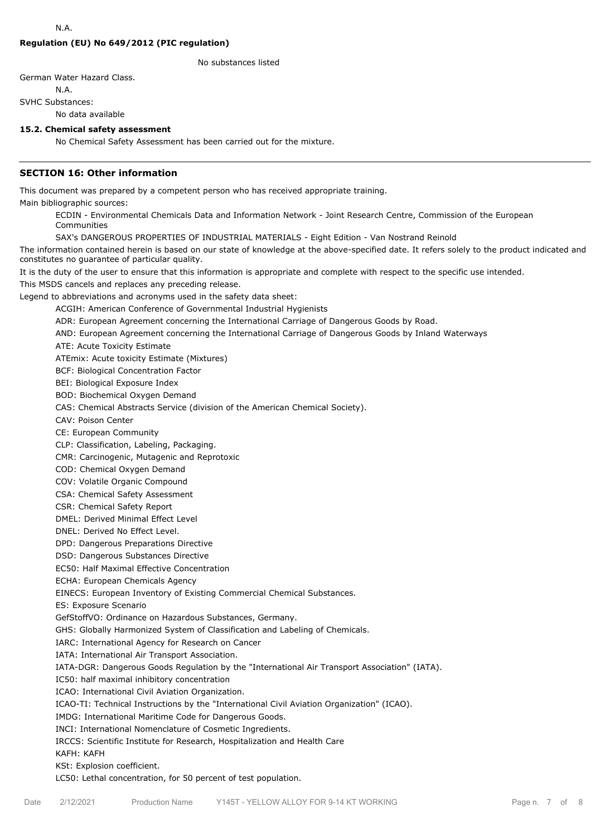## **Regulation (EU) No 649/2012 (PIC regulation)**

No substances listed

German Water Hazard Class.

N.A.

SVHC Substances:

No data available

## **15.2. Chemical safety assessment**

No Chemical Safety Assessment has been carried out for the mixture.

## **SECTION 16: Other information**

This document was prepared by a competent person who has received appropriate training.

Main bibliographic sources:

ECDIN - Environmental Chemicals Data and Information Network - Joint Research Centre, Commission of the European Communities

SAX's DANGEROUS PROPERTIES OF INDUSTRIAL MATERIALS - Eight Edition - Van Nostrand Reinold

The information contained herein is based on our state of knowledge at the above-specified date. It refers solely to the product indicated and constitutes no guarantee of particular quality.

It is the duty of the user to ensure that this information is appropriate and complete with respect to the specific use intended.

This MSDS cancels and replaces any preceding release.

Legend to abbreviations and acronyms used in the safety data sheet:

ACGIH: American Conference of Governmental Industrial Hygienists

ADR: European Agreement concerning the International Carriage of Dangerous Goods by Road.

AND: European Agreement concerning the International Carriage of Dangerous Goods by Inland Waterways

ATE: Acute Toxicity Estimate

ATEmix: Acute toxicity Estimate (Mixtures)

BCF: Biological Concentration Factor

BEI: Biological Exposure Index

BOD: Biochemical Oxygen Demand

CAS: Chemical Abstracts Service (division of the American Chemical Society).

CAV: Poison Center

CE: European Community

CLP: Classification, Labeling, Packaging.

CMR: Carcinogenic, Mutagenic and Reprotoxic

COD: Chemical Oxygen Demand

COV: Volatile Organic Compound

CSA: Chemical Safety Assessment

CSR: Chemical Safety Report

DMEL: Derived Minimal Effect Level

DNEL: Derived No Effect Level.

DPD: Dangerous Preparations Directive

DSD: Dangerous Substances Directive

EC50: Half Maximal Effective Concentration

ECHA: European Chemicals Agency

EINECS: European Inventory of Existing Commercial Chemical Substances.

ES: Exposure Scenario

GefStoffVO: Ordinance on Hazardous Substances, Germany.

GHS: Globally Harmonized System of Classification and Labeling of Chemicals.

IARC: International Agency for Research on Cancer

IATA: International Air Transport Association.

IATA-DGR: Dangerous Goods Regulation by the "International Air Transport Association" (IATA).

IC50: half maximal inhibitory concentration

ICAO: International Civil Aviation Organization.

ICAO-TI: Technical Instructions by the "International Civil Aviation Organization" (ICAO).

IMDG: International Maritime Code for Dangerous Goods.

INCI: International Nomenclature of Cosmetic Ingredients.

IRCCS: Scientific Institute for Research, Hospitalization and Health Care

KAFH: KAFH

KSt: Explosion coefficient.

LC50: Lethal concentration, for 50 percent of test population.